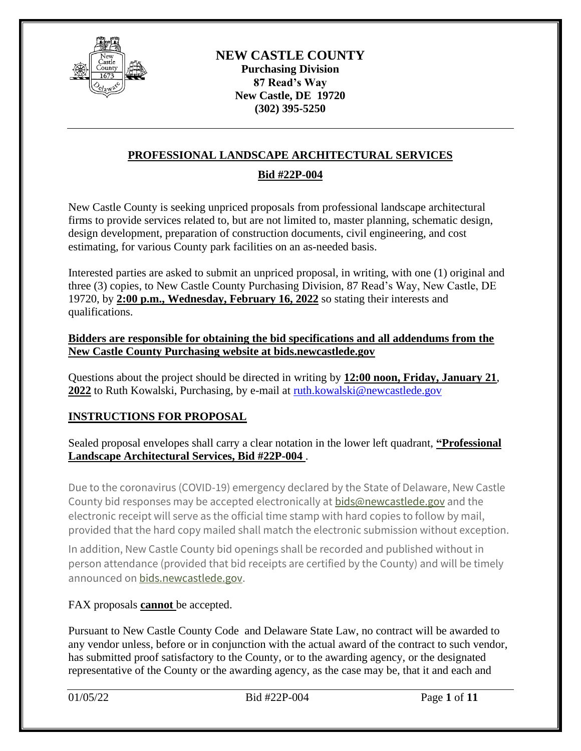

# **PROFESSIONAL LANDSCAPE ARCHITECTURAL SERVICES**

### **Bid #22P-004**

New Castle County is seeking unpriced proposals from professional landscape architectural firms to provide services related to, but are not limited to, master planning, schematic design, design development, preparation of construction documents, civil engineering, and cost estimating, for various County park facilities on an as-needed basis.

Interested parties are asked to submit an unpriced proposal, in writing, with one (1) original and three (3) copies, to New Castle County Purchasing Division, 87 Read's Way, New Castle, DE 19720, by **2:00 p.m., Wednesday, February 16, 2022** so stating their interests and qualifications.

#### **Bidders are responsible for obtaining the bid specifications and all addendums from the New Castle County Purchasing website at bids.newcastlede.gov**

Questions about the project should be directed in writing by **12:00 noon, Friday, January 21**, 2022 to Ruth Kowalski, Purchasing, by e-mail at [ruth.kowalski@newcastlede.gov](mailto:ruth.kowalski@newcastlede.gov)

## **INSTRUCTIONS FOR PROPOSAL**

Sealed proposal envelopes shall carry a clear notation in the lower left quadrant, **"Professional Landscape Architectural Services, Bid #22P-004** .

Due to the coronavirus (COVID-19) emergency declared by the State of Delaware, New Castle County bid responses may be accepted electronically at [bids@newcastlede.gov](mailto:bids@newcastlede.gov) and the electronic receipt will serve as the official time stamp with hard copies to follow by mail, provided that the hard copy mailed shall match the electronic submission without exception.

In addition, New Castle County bid openings shall be recorded and published without in person attendance (provided that bid receipts are certified by the County) and will be timely announced on [bids.newcastlede.gov.](http://bids.nccde.org/)

FAX proposals **cannot** be accepted.

Pursuant to New Castle County Code and Delaware State Law, no contract will be awarded to any vendor unless, before or in conjunction with the actual award of the contract to such vendor, has submitted proof satisfactory to the County, or to the awarding agency, or the designated representative of the County or the awarding agency, as the case may be, that it and each and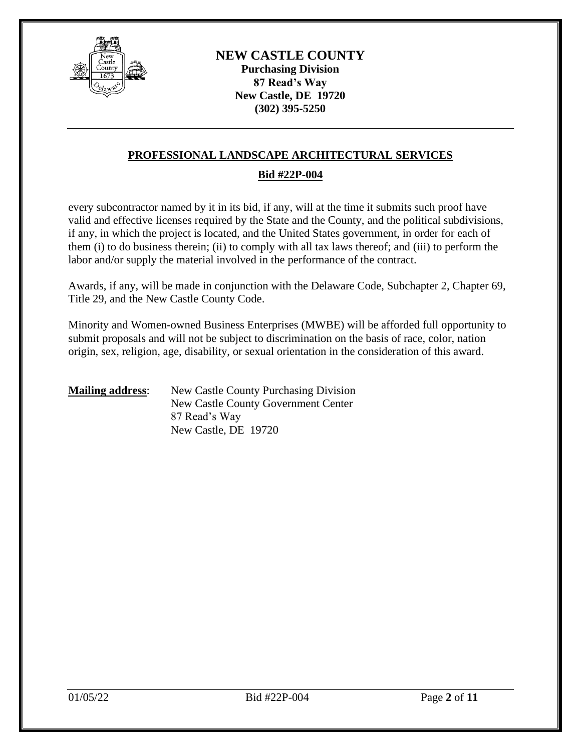

### **PROFESSIONAL LANDSCAPE ARCHITECTURAL SERVICES**

#### **Bid #22P-004**

every subcontractor named by it in its bid, if any, will at the time it submits such proof have valid and effective licenses required by the State and the County, and the political subdivisions, if any, in which the project is located, and the United States government, in order for each of them (i) to do business therein; (ii) to comply with all tax laws thereof; and (iii) to perform the labor and/or supply the material involved in the performance of the contract.

Awards, if any, will be made in conjunction with the Delaware Code, Subchapter 2, Chapter 69, Title 29, and the New Castle County Code.

Minority and Women-owned Business Enterprises (MWBE) will be afforded full opportunity to submit proposals and will not be subject to discrimination on the basis of race, color, nation origin, sex, religion, age, disability, or sexual orientation in the consideration of this award.

#### **Mailing address:** New Castle County Purchasing Division New Castle County Government Center 87 Read's Way New Castle, DE 19720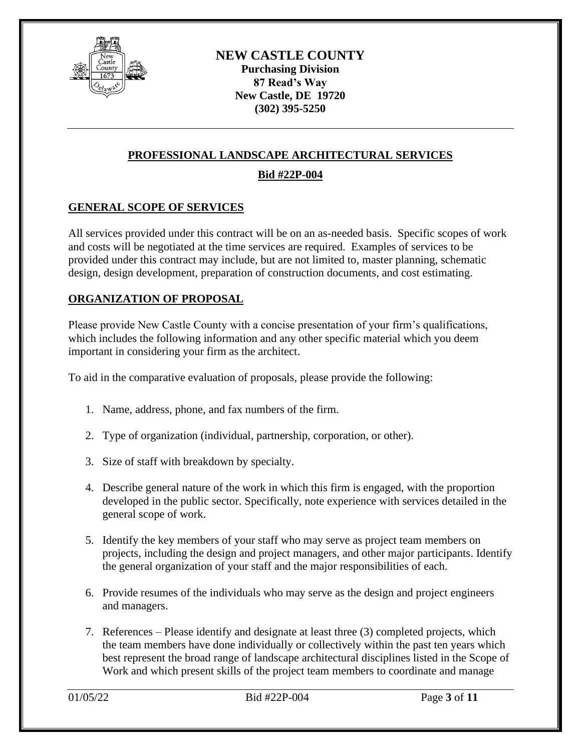

# **PROFESSIONAL LANDSCAPE ARCHITECTURAL SERVICES**

# **Bid #22P-004**

## **GENERAL SCOPE OF SERVICES**

All services provided under this contract will be on an as-needed basis. Specific scopes of work and costs will be negotiated at the time services are required. Examples of services to be provided under this contract may include, but are not limited to, master planning, schematic design, design development, preparation of construction documents, and cost estimating.

### **ORGANIZATION OF PROPOSAL**

Please provide New Castle County with a concise presentation of your firm's qualifications, which includes the following information and any other specific material which you deem important in considering your firm as the architect.

To aid in the comparative evaluation of proposals, please provide the following:

- 1. Name, address, phone, and fax numbers of the firm.
- 2. Type of organization (individual, partnership, corporation, or other).
- 3. Size of staff with breakdown by specialty.
- 4. Describe general nature of the work in which this firm is engaged, with the proportion developed in the public sector. Specifically, note experience with services detailed in the general scope of work.
- 5. Identify the key members of your staff who may serve as project team members on projects, including the design and project managers, and other major participants. Identify the general organization of your staff and the major responsibilities of each.
- 6. Provide resumes of the individuals who may serve as the design and project engineers and managers.
- 7. References Please identify and designate at least three (3) completed projects, which the team members have done individually or collectively within the past ten years which best represent the broad range of landscape architectural disciplines listed in the Scope of Work and which present skills of the project team members to coordinate and manage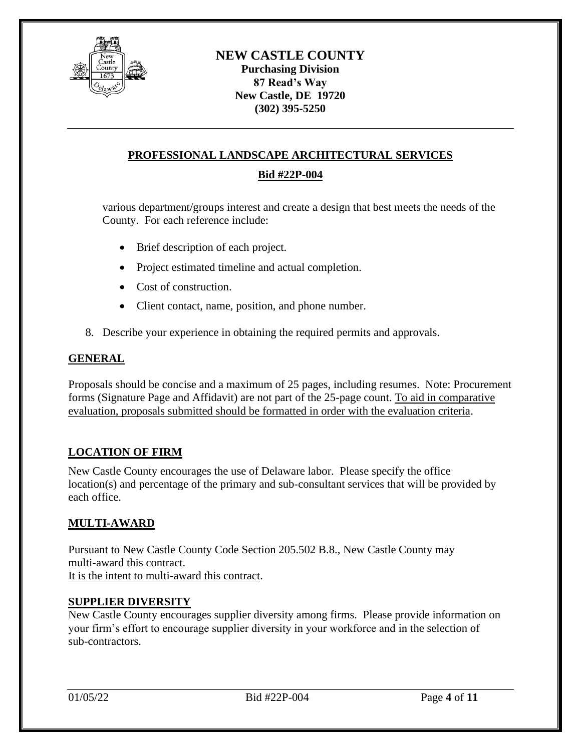

# **PROFESSIONAL LANDSCAPE ARCHITECTURAL SERVICES**

## **Bid #22P-004**

various department/groups interest and create a design that best meets the needs of the County. For each reference include:

- Brief description of each project.
- Project estimated timeline and actual completion.
- Cost of construction.
- Client contact, name, position, and phone number.
- 8. Describe your experience in obtaining the required permits and approvals.

#### **GENERAL**

Proposals should be concise and a maximum of 25 pages, including resumes. Note: Procurement forms (Signature Page and Affidavit) are not part of the 25-page count. To aid in comparative evaluation, proposals submitted should be formatted in order with the evaluation criteria.

#### **LOCATION OF FIRM**

New Castle County encourages the use of Delaware labor. Please specify the office location(s) and percentage of the primary and sub-consultant services that will be provided by each office.

#### **MULTI-AWARD**

Pursuant to New Castle County Code Section 205.502 B.8., New Castle County may multi-award this contract. It is the intent to multi-award this contract.

#### **SUPPLIER DIVERSITY**

New Castle County encourages supplier diversity among firms. Please provide information on your firm's effort to encourage supplier diversity in your workforce and in the selection of sub-contractors.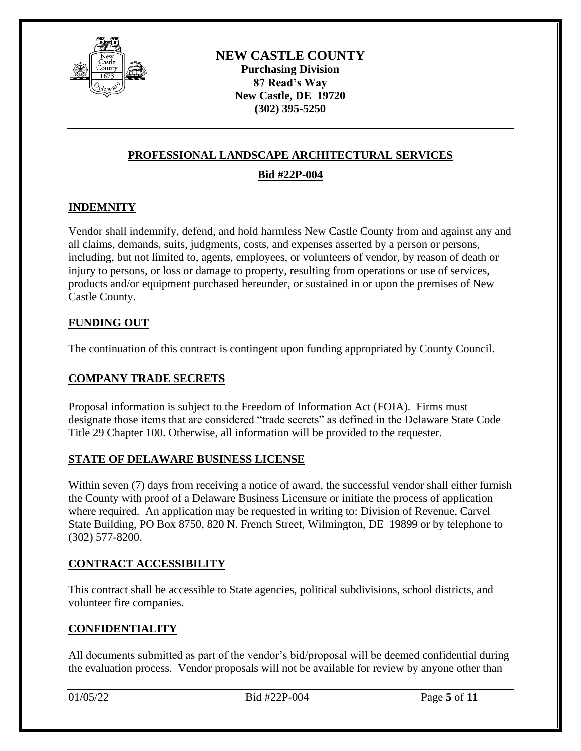

# **PROFESSIONAL LANDSCAPE ARCHITECTURAL SERVICES**

## **Bid #22P-004**

## **INDEMNITY**

Vendor shall indemnify, defend, and hold harmless New Castle County from and against any and all claims, demands, suits, judgments, costs, and expenses asserted by a person or persons, including, but not limited to, agents, employees, or volunteers of vendor, by reason of death or injury to persons, or loss or damage to property, resulting from operations or use of services, products and/or equipment purchased hereunder, or sustained in or upon the premises of New Castle County.

### **FUNDING OUT**

The continuation of this contract is contingent upon funding appropriated by County Council.

### **COMPANY TRADE SECRETS**

Proposal information is subject to the Freedom of Information Act (FOIA). Firms must designate those items that are considered "trade secrets" as defined in the Delaware State Code Title 29 Chapter 100. Otherwise, all information will be provided to the requester.

#### **STATE OF DELAWARE BUSINESS LICENSE**

Within seven (7) days from receiving a notice of award, the successful vendor shall either furnish the County with proof of a Delaware Business Licensure or initiate the process of application where required. An application may be requested in writing to: Division of Revenue, Carvel State Building, PO Box 8750, 820 N. French Street, Wilmington, DE 19899 or by telephone to (302) 577-8200.

#### **CONTRACT ACCESSIBILITY**

This contract shall be accessible to State agencies, political subdivisions, school districts, and volunteer fire companies.

#### **CONFIDENTIALITY**

All documents submitted as part of the vendor's bid/proposal will be deemed confidential during the evaluation process. Vendor proposals will not be available for review by anyone other than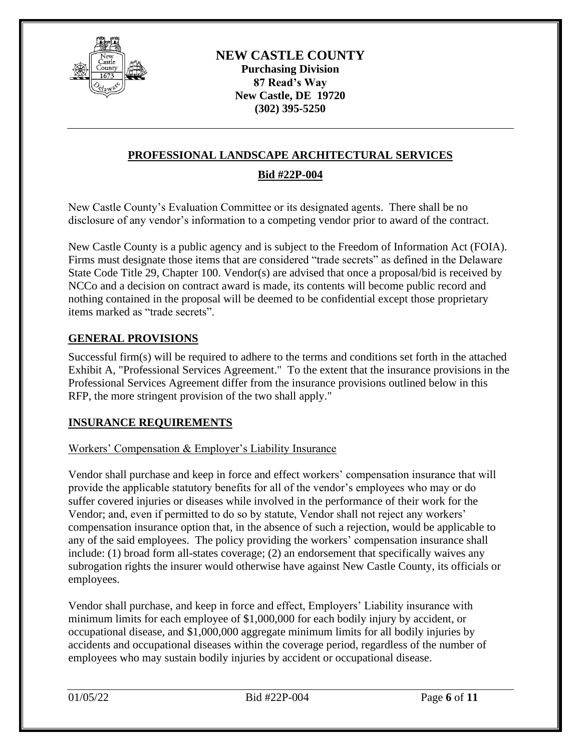

## **PROFESSIONAL LANDSCAPE ARCHITECTURAL SERVICES**

### **Bid #22P-004**

New Castle County's Evaluation Committee or its designated agents. There shall be no disclosure of any vendor's information to a competing vendor prior to award of the contract.

New Castle County is a public agency and is subject to the Freedom of Information Act (FOIA). Firms must designate those items that are considered "trade secrets" as defined in the Delaware State Code Title 29, Chapter 100. Vendor(s) are advised that once a proposal/bid is received by NCCo and a decision on contract award is made, its contents will become public record and nothing contained in the proposal will be deemed to be confidential except those proprietary items marked as "trade secrets".

#### **GENERAL PROVISIONS**

Successful firm(s) will be required to adhere to the terms and conditions set forth in the attached Exhibit A, "Professional Services Agreement." To the extent that the insurance provisions in the Professional Services Agreement differ from the insurance provisions outlined below in this RFP, the more stringent provision of the two shall apply."

#### **INSURANCE REQUIREMENTS**

#### Workers' Compensation & Employer's Liability Insurance

Vendor shall purchase and keep in force and effect workers' compensation insurance that will provide the applicable statutory benefits for all of the vendor's employees who may or do suffer covered injuries or diseases while involved in the performance of their work for the Vendor; and, even if permitted to do so by statute, Vendor shall not reject any workers' compensation insurance option that, in the absence of such a rejection, would be applicable to any of the said employees. The policy providing the workers' compensation insurance shall include: (1) broad form all-states coverage; (2) an endorsement that specifically waives any subrogation rights the insurer would otherwise have against New Castle County, its officials or employees.

Vendor shall purchase, and keep in force and effect, Employers' Liability insurance with minimum limits for each employee of \$1,000,000 for each bodily injury by accident, or occupational disease, and \$1,000,000 aggregate minimum limits for all bodily injuries by accidents and occupational diseases within the coverage period, regardless of the number of employees who may sustain bodily injuries by accident or occupational disease.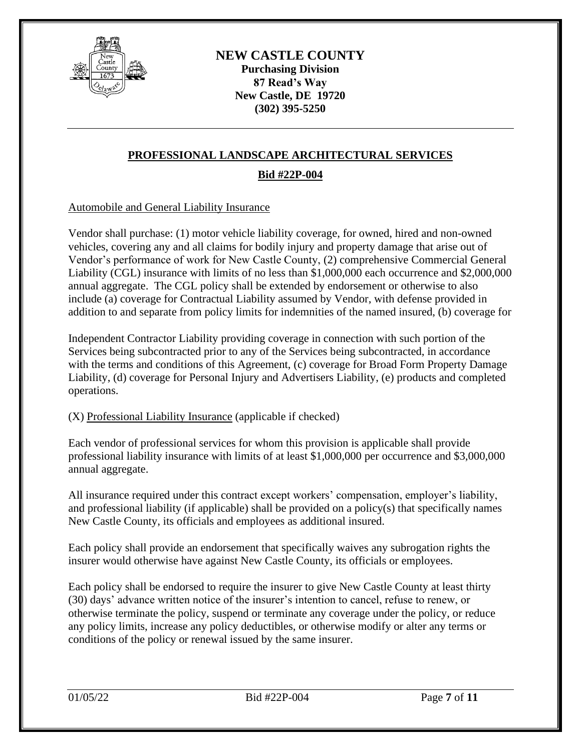

# **PROFESSIONAL LANDSCAPE ARCHITECTURAL SERVICES**

# **Bid #22P-004**

#### Automobile and General Liability Insurance

Vendor shall purchase: (1) motor vehicle liability coverage, for owned, hired and non-owned vehicles, covering any and all claims for bodily injury and property damage that arise out of Vendor's performance of work for New Castle County, (2) comprehensive Commercial General Liability (CGL) insurance with limits of no less than \$1,000,000 each occurrence and \$2,000,000 annual aggregate. The CGL policy shall be extended by endorsement or otherwise to also include (a) coverage for Contractual Liability assumed by Vendor, with defense provided in addition to and separate from policy limits for indemnities of the named insured, (b) coverage for

Independent Contractor Liability providing coverage in connection with such portion of the Services being subcontracted prior to any of the Services being subcontracted, in accordance with the terms and conditions of this Agreement, (c) coverage for Broad Form Property Damage Liability, (d) coverage for Personal Injury and Advertisers Liability, (e) products and completed operations.

#### (X) Professional Liability Insurance (applicable if checked)

Each vendor of professional services for whom this provision is applicable shall provide professional liability insurance with limits of at least \$1,000,000 per occurrence and \$3,000,000 annual aggregate.

All insurance required under this contract except workers' compensation, employer's liability, and professional liability (if applicable) shall be provided on a policy(s) that specifically names New Castle County, its officials and employees as additional insured.

Each policy shall provide an endorsement that specifically waives any subrogation rights the insurer would otherwise have against New Castle County, its officials or employees.

Each policy shall be endorsed to require the insurer to give New Castle County at least thirty (30) days' advance written notice of the insurer's intention to cancel, refuse to renew, or otherwise terminate the policy, suspend or terminate any coverage under the policy, or reduce any policy limits, increase any policy deductibles, or otherwise modify or alter any terms or conditions of the policy or renewal issued by the same insurer.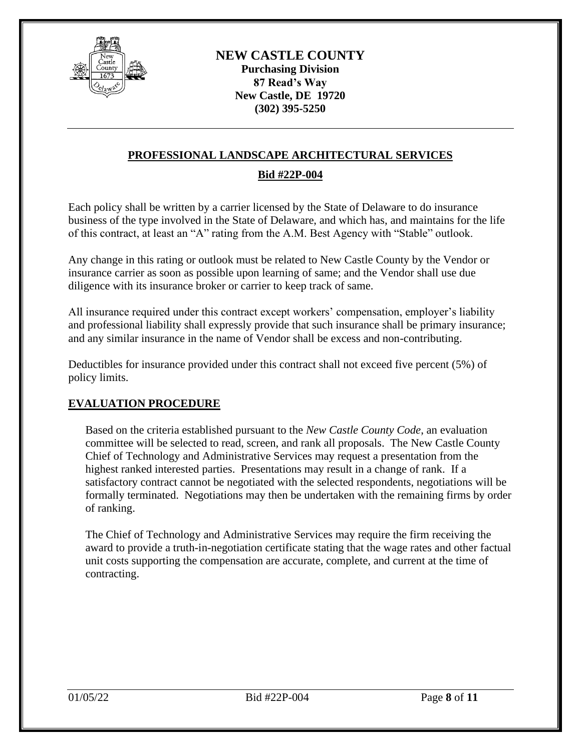

### **PROFESSIONAL LANDSCAPE ARCHITECTURAL SERVICES**

### **Bid #22P-004**

Each policy shall be written by a carrier licensed by the State of Delaware to do insurance business of the type involved in the State of Delaware, and which has, and maintains for the life of this contract, at least an "A" rating from the A.M. Best Agency with "Stable" outlook.

Any change in this rating or outlook must be related to New Castle County by the Vendor or insurance carrier as soon as possible upon learning of same; and the Vendor shall use due diligence with its insurance broker or carrier to keep track of same.

All insurance required under this contract except workers' compensation, employer's liability and professional liability shall expressly provide that such insurance shall be primary insurance; and any similar insurance in the name of Vendor shall be excess and non-contributing.

Deductibles for insurance provided under this contract shall not exceed five percent (5%) of policy limits.

#### **EVALUATION PROCEDURE**

Based on the criteria established pursuant to the *New Castle County Code*, an evaluation committee will be selected to read, screen, and rank all proposals. The New Castle County Chief of Technology and Administrative Services may request a presentation from the highest ranked interested parties. Presentations may result in a change of rank. If a satisfactory contract cannot be negotiated with the selected respondents, negotiations will be formally terminated. Negotiations may then be undertaken with the remaining firms by order of ranking.

The Chief of Technology and Administrative Services may require the firm receiving the award to provide a truth-in-negotiation certificate stating that the wage rates and other factual unit costs supporting the compensation are accurate, complete, and current at the time of contracting.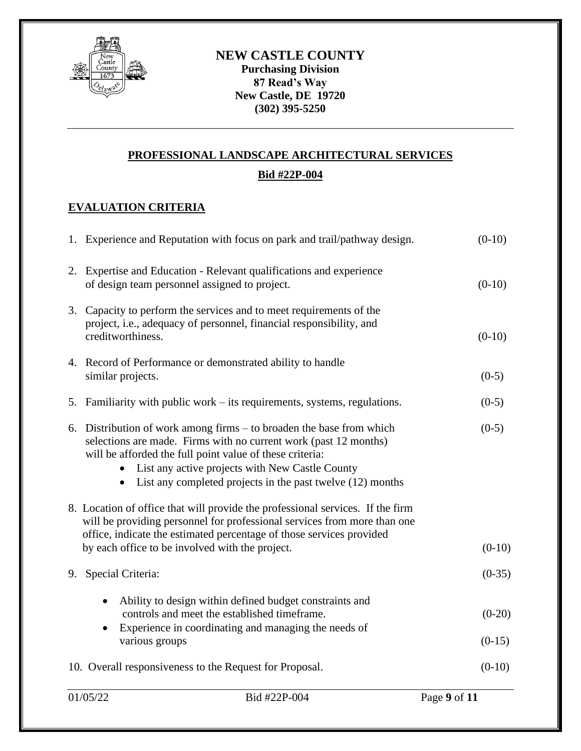

# **PROFESSIONAL LANDSCAPE ARCHITECTURAL SERVICES**

## **Bid #22P-004**

# **EVALUATION CRITERIA**

|                                                                                                                                                                                                                                                                                       | 1. Experience and Reputation with focus on park and trail/pathway design.                                                                                                                                                                                                                                                   |                      |  |  |
|---------------------------------------------------------------------------------------------------------------------------------------------------------------------------------------------------------------------------------------------------------------------------------------|-----------------------------------------------------------------------------------------------------------------------------------------------------------------------------------------------------------------------------------------------------------------------------------------------------------------------------|----------------------|--|--|
|                                                                                                                                                                                                                                                                                       | 2. Expertise and Education - Relevant qualifications and experience<br>of design team personnel assigned to project.                                                                                                                                                                                                        |                      |  |  |
|                                                                                                                                                                                                                                                                                       | 3. Capacity to perform the services and to meet requirements of the<br>project, i.e., adequacy of personnel, financial responsibility, and<br>creditworthiness.                                                                                                                                                             | $(0-10)$             |  |  |
|                                                                                                                                                                                                                                                                                       | 4. Record of Performance or demonstrated ability to handle<br>similar projects.                                                                                                                                                                                                                                             | $(0-5)$              |  |  |
|                                                                                                                                                                                                                                                                                       | 5. Familiarity with public work – its requirements, systems, regulations.                                                                                                                                                                                                                                                   | $(0-5)$              |  |  |
|                                                                                                                                                                                                                                                                                       | 6. Distribution of work among firms – to broaden the base from which<br>selections are made. Firms with no current work (past 12 months)<br>will be afforded the full point value of these criteria:<br>• List any active projects with New Castle County<br>• List any completed projects in the past twelve $(12)$ months | $(0-5)$              |  |  |
| 8. Location of office that will provide the professional services. If the firm<br>will be providing personnel for professional services from more than one<br>office, indicate the estimated percentage of those services provided<br>by each office to be involved with the project. |                                                                                                                                                                                                                                                                                                                             |                      |  |  |
|                                                                                                                                                                                                                                                                                       | 9. Special Criteria:                                                                                                                                                                                                                                                                                                        | $(0-35)$             |  |  |
|                                                                                                                                                                                                                                                                                       | Ability to design within defined budget constraints and<br>controls and meet the established timeframe.<br>Experience in coordinating and managing the needs of<br>various groups                                                                                                                                           | $(0-20)$<br>$(0-15)$ |  |  |
|                                                                                                                                                                                                                                                                                       | 10. Overall responsiveness to the Request for Proposal.                                                                                                                                                                                                                                                                     | $(0-10)$             |  |  |
|                                                                                                                                                                                                                                                                                       |                                                                                                                                                                                                                                                                                                                             |                      |  |  |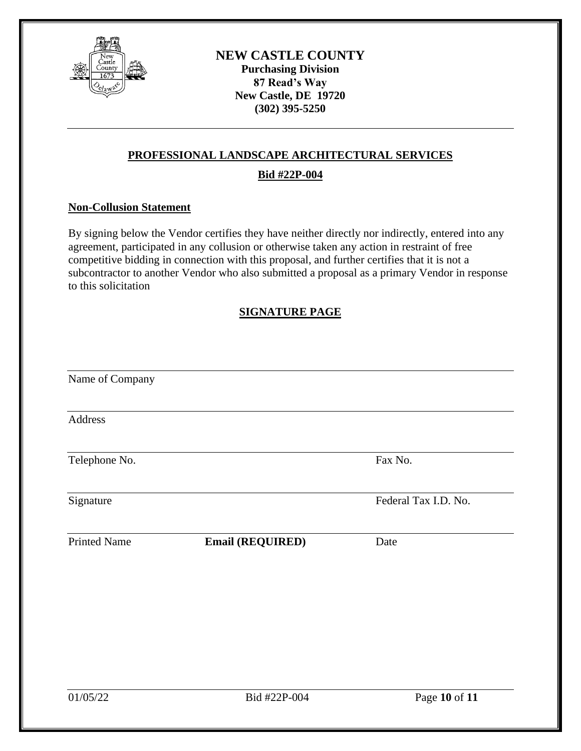

## **PROFESSIONAL LANDSCAPE ARCHITECTURAL SERVICES**

### **Bid #22P-004**

#### **Non-Collusion Statement**

By signing below the Vendor certifies they have neither directly nor indirectly, entered into any agreement, participated in any collusion or otherwise taken any action in restraint of free competitive bidding in connection with this proposal, and further certifies that it is not a subcontractor to another Vendor who also submitted a proposal as a primary Vendor in response to this solicitation

## **SIGNATURE PAGE**

| Name of Company     |                  |                      |
|---------------------|------------------|----------------------|
| Address             |                  |                      |
| Telephone No.       |                  | Fax No.              |
| Signature           |                  | Federal Tax I.D. No. |
| <b>Printed Name</b> | Email (REQUIRED) | Date                 |
|                     |                  |                      |
|                     |                  |                      |